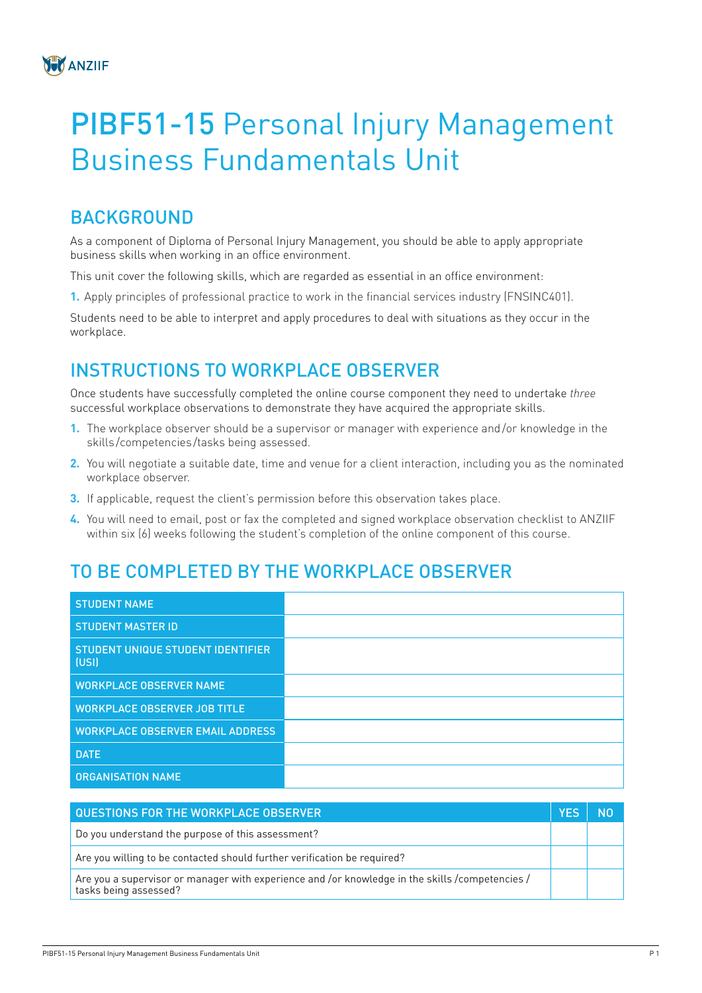

## PIBF51-15 Personal Injury Management Business Fundamentals Unit

## **BACKGROUND**

As a component of Diploma of Personal Injury Management, you should be able to apply appropriate business skills when working in an office environment.

This unit cover the following skills, which are regarded as essential in an office environment:

**1.** Apply principles of professional practice to work in the financial services industry (FNSINC401).

Students need to be able to interpret and apply procedures to deal with situations as they occur in the workplace.

## INSTRUCTIONS TO WORKPLACE OBSERVER

Once students have successfully completed the online course component they need to undertake *three* successful workplace observations to demonstrate they have acquired the appropriate skills.

- **1.** The workplace observer should be a supervisor or manager with experience and/or knowledge in the skills /competencies /tasks being assessed.
- **2.** You will negotiate a suitable date, time and venue for a client interaction, including you as the nominated workplace observer.
- **3.** If applicable, request the client's permission before this observation takes place.
- **4.** You will need to email, post or fax the completed and signed workplace observation checklist to ANZIIF within six (6) weeks following the student's completion of the online component of this course.

## TO BE COMPLETED BY THE WORKPLACE OBSERVER

| <b>STUDENT NAME</b>                                      |  |
|----------------------------------------------------------|--|
| <b>STUDENT MASTER ID</b>                                 |  |
| <b>STUDENT UNIQUE STUDENT IDENTIFIER</b><br><b>(USI)</b> |  |
| <b>WORKPLACE OBSERVER NAME</b>                           |  |
| <b>WORKPLACE OBSERVER JOB TITLE</b>                      |  |
| <b>WORKPLACE OBSERVER EMAIL ADDRESS</b>                  |  |
| <b>DATE</b>                                              |  |
| <b>ORGANISATION NAME</b>                                 |  |

| QUESTIONS FOR THE WORKPLACE OBSERVER                                                                                     |  |
|--------------------------------------------------------------------------------------------------------------------------|--|
| Do you understand the purpose of this assessment?                                                                        |  |
| Are you willing to be contacted should further verification be required?                                                 |  |
| Are you a supervisor or manager with experience and /or knowledge in the skills /competencies /<br>tasks being assessed? |  |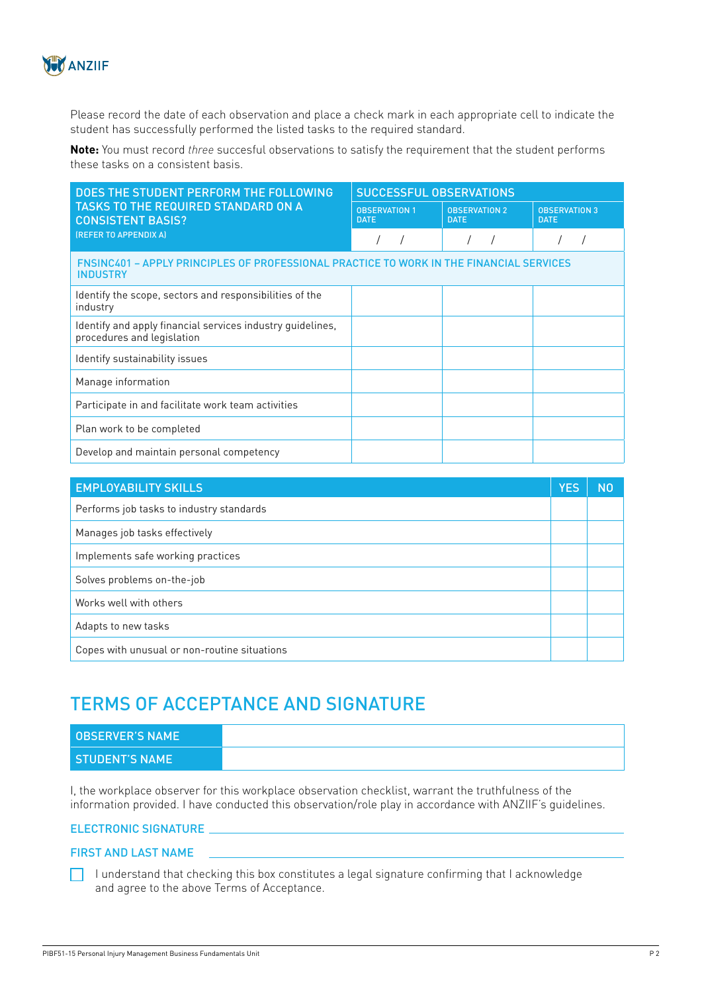

Please record the date of each observation and place a check mark in each appropriate cell to indicate the student has successfully performed the listed tasks to the required standard.

**Note:** You must record *three* succesful observations to satisfy the requirement that the student performs these tasks on a consistent basis.

| DOES THE STUDENT PERFORM THE FOLLOWING                                                                            | <b>SUCCESSFUL OBSERVATIONS</b>      |                                     |                                     |  |  |
|-------------------------------------------------------------------------------------------------------------------|-------------------------------------|-------------------------------------|-------------------------------------|--|--|
| <b>TASKS TO THE REQUIRED STANDARD ON A</b><br><b>CONSISTENT BASIS?</b><br>(REFER TO APPENDIX A)                   | <b>OBSERVATION 1</b><br><b>DATE</b> | <b>OBSERVATION 2</b><br><b>DATE</b> | <b>OBSERVATION 3</b><br><b>DATE</b> |  |  |
|                                                                                                                   |                                     |                                     |                                     |  |  |
| <b>FNSINC401 - APPLY PRINCIPLES OF PROFESSIONAL PRACTICE TO WORK IN THE FINANCIAL SERVICES</b><br><b>INDUSTRY</b> |                                     |                                     |                                     |  |  |
| Identify the scope, sectors and responsibilities of the<br>industry                                               |                                     |                                     |                                     |  |  |
| Identify and apply financial services industry quidelines,<br>procedures and legislation                          |                                     |                                     |                                     |  |  |
| Identify sustainability issues                                                                                    |                                     |                                     |                                     |  |  |
| Manage information                                                                                                |                                     |                                     |                                     |  |  |
| Participate in and facilitate work team activities                                                                |                                     |                                     |                                     |  |  |
| Plan work to be completed                                                                                         |                                     |                                     |                                     |  |  |
| Develop and maintain personal competency                                                                          |                                     |                                     |                                     |  |  |

| <b>EMPLOYABILITY SKILLS</b>                  | <b>YES</b> | N <sub>0</sub> |
|----------------------------------------------|------------|----------------|
| Performs job tasks to industry standards     |            |                |
| Manages job tasks effectively                |            |                |
| Implements safe working practices            |            |                |
| Solves problems on-the-job                   |            |                |
| Works well with others                       |            |                |
| Adapts to new tasks                          |            |                |
| Copes with unusual or non-routine situations |            |                |

## TERMS OF ACCEPTANCE AND SIGNATURE

| <b>OBSERVER'S NAME</b> |  |
|------------------------|--|
| <b>STUDENT'S NAME</b>  |  |

I, the workplace observer for this workplace observation checklist, warrant the truthfulness of the information provided. I have conducted this observation/role play in accordance with ANZIIF's guidelines.

#### ELECTRONIC SIGNATURE

#### FIRST AND LAST NAME

 $\Box$  I understand that checking this box constitutes a legal signature confirming that I acknowledge and agree to the above Terms of Acceptance.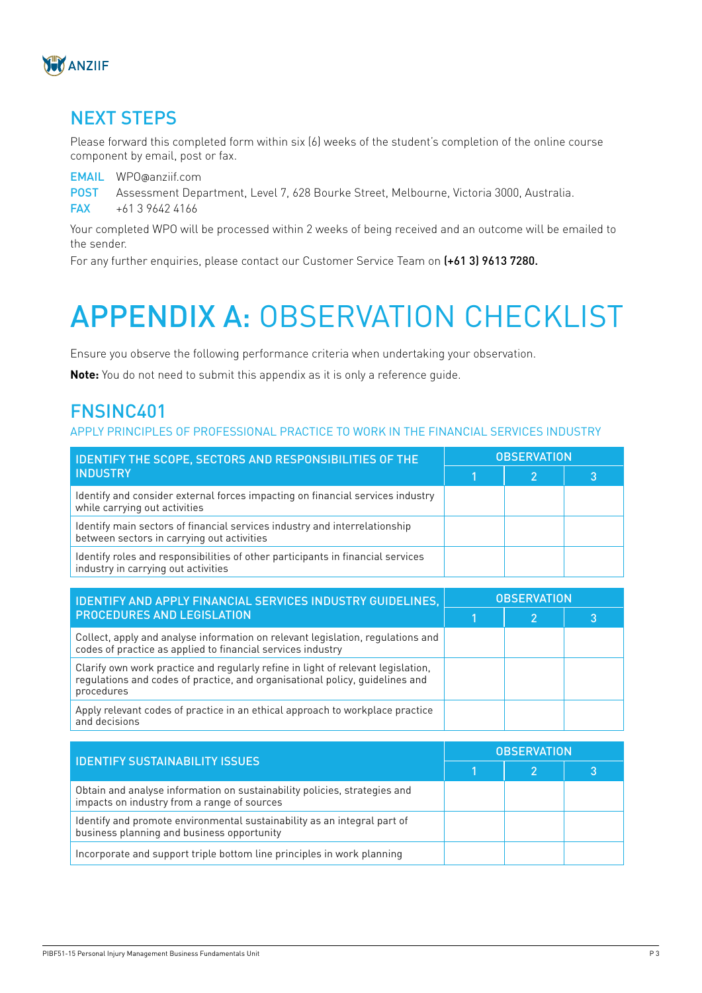

## NEXT STEPS

Please forward this completed form within six (6) weeks of the student's completion of the online course component by email, post or fax.

EMAIL WPO@anziif.com POST Assessment Department, Level 7, 628 Bourke Street, Melbourne, Victoria 3000, Australia. FAX +61 3 9642 4166

Your completed WPO will be processed within 2 weeks of being received and an outcome will be emailed to the sender.

For any further enquiries, please contact our Customer Service Team on (+61 3) 9613 7280.

# APPENDIX A: OBSERVATION CHECKLIST

Ensure you observe the following performance criteria when undertaking your observation.

**Note:** You do not need to submit this appendix as it is only a reference guide.

### FNSINC401

#### APPLY PRINCIPLES OF PROFESSIONAL PRACTICE TO WORK IN THE FINANCIAL SERVICES INDUSTRY

| <b>IDENTIFY THE SCOPE, SECTORS AND RESPONSIBILITIES OF THE</b><br><b>INDUSTRY</b>                                        | <b>OBSERVATION</b> |  |  |  |
|--------------------------------------------------------------------------------------------------------------------------|--------------------|--|--|--|
|                                                                                                                          |                    |  |  |  |
| Identify and consider external forces impacting on financial services industry<br>while carrying out activities          |                    |  |  |  |
| Identify main sectors of financial services industry and interrelationship<br>between sectors in carrying out activities |                    |  |  |  |
| Identify roles and responsibilities of other participants in financial services<br>industry in carrying out activities   |                    |  |  |  |

| IDENTIFY AND APPLY FINANCIAL SERVICES INDUSTRY GUIDELINES,<br><b>PROCEDURES AND LEGISLATION</b>                                                                                | <b>OBSERVATION</b> |   |  |  |
|--------------------------------------------------------------------------------------------------------------------------------------------------------------------------------|--------------------|---|--|--|
|                                                                                                                                                                                |                    | 2 |  |  |
| Collect, apply and analyse information on relevant legislation, regulations and<br>codes of practice as applied to financial services industry                                 |                    |   |  |  |
| Clarify own work practice and regularly refine in light of relevant legislation,<br>regulations and codes of practice, and organisational policy, guidelines and<br>procedures |                    |   |  |  |
| Apply relevant codes of practice in an ethical approach to workplace practice<br>and decisions                                                                                 |                    |   |  |  |

| <b>IDENTIFY SUSTAINABILITY ISSUES</b>                                                                                    | <b>OBSERVATION</b> |  |  |  |
|--------------------------------------------------------------------------------------------------------------------------|--------------------|--|--|--|
|                                                                                                                          |                    |  |  |  |
| Obtain and analyse information on sustainability policies, strategies and<br>impacts on industry from a range of sources |                    |  |  |  |
| Identify and promote environmental sustainability as an integral part of<br>business planning and business opportunity   |                    |  |  |  |
| Incorporate and support triple bottom line principles in work planning                                                   |                    |  |  |  |
|                                                                                                                          |                    |  |  |  |